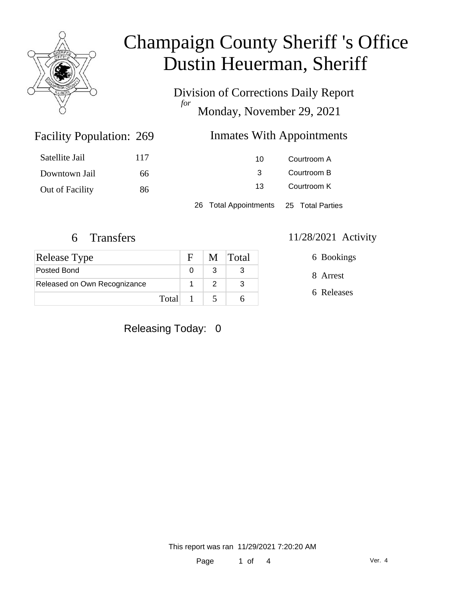

Division of Corrections Daily Report *for* Monday, November 29, 2021

### Inmates With Appointments

| Satellite Jail  | 117 | 10.                                    | Courtroom A |  |
|-----------------|-----|----------------------------------------|-------------|--|
| Downtown Jail   | 66  |                                        | Courtroom B |  |
| Out of Facility | 86  | 13                                     | Courtroom K |  |
|                 |     | 26 Total Appointments 25 Total Parties |             |  |

Facility Population: 269

| <b>Release Type</b>          |         | $F_{\perp}$ | M Total |
|------------------------------|---------|-------------|---------|
| Posted Bond                  |         |             |         |
| Released on Own Recognizance |         |             |         |
|                              | Total 1 |             |         |

#### 6 Transfers 11/28/2021 Activity

| 6 Bookings |
|------------|
| 8 Arrest   |

6 Releases

Releasing Today: 0

This report was ran 11/29/2021 7:20:20 AM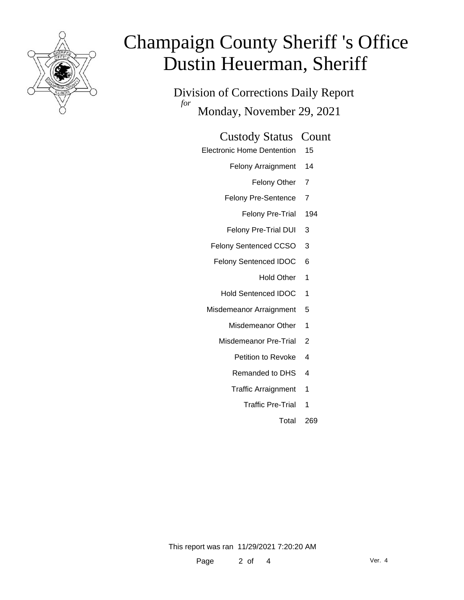

Division of Corrections Daily Report *for* Monday, November 29, 2021

#### Custody Status Count

- Electronic Home Dentention 15
	- Felony Arraignment 14
		- Felony Other 7
	- Felony Pre-Sentence 7
		- Felony Pre-Trial 194
	- Felony Pre-Trial DUI 3
	- Felony Sentenced CCSO 3
	- Felony Sentenced IDOC 6
		- Hold Other 1
		- Hold Sentenced IDOC 1
	- Misdemeanor Arraignment 5
		- Misdemeanor Other 1
		- Misdemeanor Pre-Trial 2
			- Petition to Revoke 4
			- Remanded to DHS 4
			- Traffic Arraignment 1
				- Traffic Pre-Trial 1
					- Total 269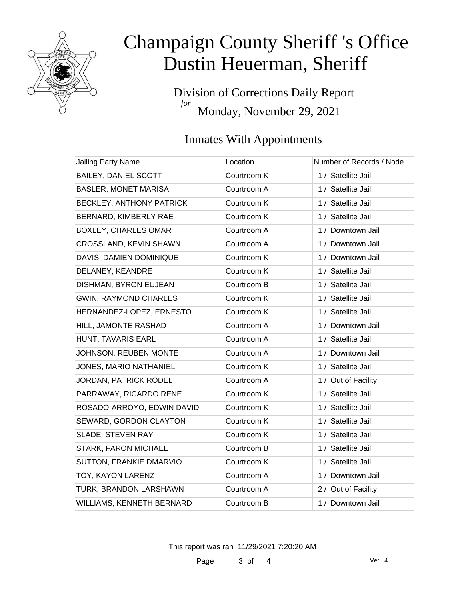

Division of Corrections Daily Report *for* Monday, November 29, 2021

### Inmates With Appointments

| Jailing Party Name           | Location    | Number of Records / Node |
|------------------------------|-------------|--------------------------|
| <b>BAILEY, DANIEL SCOTT</b>  | Courtroom K | 1 / Satellite Jail       |
| <b>BASLER, MONET MARISA</b>  | Courtroom A | 1 / Satellite Jail       |
| BECKLEY, ANTHONY PATRICK     | Courtroom K | 1 / Satellite Jail       |
| BERNARD, KIMBERLY RAE        | Courtroom K | 1 / Satellite Jail       |
| <b>BOXLEY, CHARLES OMAR</b>  | Courtroom A | 1 / Downtown Jail        |
| CROSSLAND, KEVIN SHAWN       | Courtroom A | 1 / Downtown Jail        |
| DAVIS, DAMIEN DOMINIQUE      | Courtroom K | 1 / Downtown Jail        |
| DELANEY, KEANDRE             | Courtroom K | 1 / Satellite Jail       |
| DISHMAN, BYRON EUJEAN        | Courtroom B | 1 / Satellite Jail       |
| <b>GWIN, RAYMOND CHARLES</b> | Courtroom K | 1 / Satellite Jail       |
| HERNANDEZ-LOPEZ, ERNESTO     | Courtroom K | 1 / Satellite Jail       |
| HILL, JAMONTE RASHAD         | Courtroom A | 1 / Downtown Jail        |
| HUNT, TAVARIS EARL           | Courtroom A | 1 / Satellite Jail       |
| JOHNSON, REUBEN MONTE        | Courtroom A | 1 / Downtown Jail        |
| JONES, MARIO NATHANIEL       | Courtroom K | 1 / Satellite Jail       |
| JORDAN, PATRICK RODEL        | Courtroom A | 1 / Out of Facility      |
| PARRAWAY, RICARDO RENE       | Courtroom K | 1 / Satellite Jail       |
| ROSADO-ARROYO, EDWIN DAVID   | Courtroom K | 1 / Satellite Jail       |
| SEWARD, GORDON CLAYTON       | Courtroom K | 1 / Satellite Jail       |
| SLADE, STEVEN RAY            | Courtroom K | 1 / Satellite Jail       |
| STARK, FARON MICHAEL         | Courtroom B | 1 / Satellite Jail       |
| SUTTON, FRANKIE DMARVIO      | Courtroom K | 1 / Satellite Jail       |
| TOY, KAYON LARENZ            | Courtroom A | 1 / Downtown Jail        |
| TURK, BRANDON LARSHAWN       | Courtroom A | 2 / Out of Facility      |
| WILLIAMS, KENNETH BERNARD    | Courtroom B | 1 / Downtown Jail        |

This report was ran 11/29/2021 7:20:20 AM